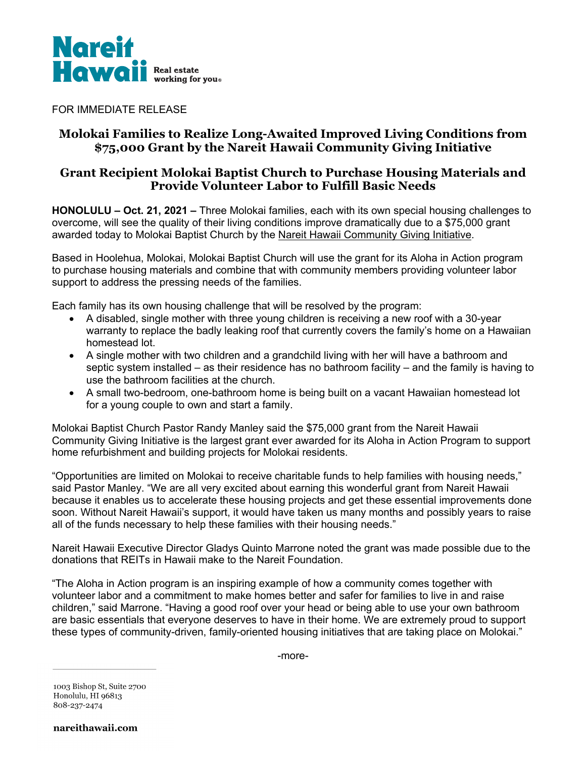

FOR IMMEDIATE RELEASE

# **Molokai Families to Realize Long-Awaited Improved Living Conditions from \$75,000 Grant by the Nareit Hawaii Community Giving Initiative**

## **Grant Recipient Molokai Baptist Church to Purchase Housing Materials and Provide Volunteer Labor to Fulfill Basic Needs**

**HONOLULU – Oct. 21, 2021 –** Three Molokai families, each with its own special housing challenges to overcome, will see the quality of their living conditions improve dramatically due to a \$75,000 grant awarded today to Molokai Baptist Church by the Nareit Hawaii Community Giving Initiative.

Based in Hoolehua, Molokai, Molokai Baptist Church will use the grant for its Aloha in Action program to purchase housing materials and combine that with community members providing volunteer labor support to address the pressing needs of the families.

Each family has its own housing challenge that will be resolved by the program:

- A disabled, single mother with three young children is receiving a new roof with a 30-year warranty to replace the badly leaking roof that currently covers the family's home on a Hawaiian homestead lot.
- A single mother with two children and a grandchild living with her will have a bathroom and septic system installed – as their residence has no bathroom facility – and the family is having to use the bathroom facilities at the church.
- A small two-bedroom, one-bathroom home is being built on a vacant Hawaiian homestead lot for a young couple to own and start a family.

Molokai Baptist Church Pastor Randy Manley said the \$75,000 grant from the Nareit Hawaii Community Giving Initiative is the largest grant ever awarded for its Aloha in Action Program to support home refurbishment and building projects for Molokai residents.

"Opportunities are limited on Molokai to receive charitable funds to help families with housing needs," said Pastor Manley. "We are all very excited about earning this wonderful grant from Nareit Hawaii because it enables us to accelerate these housing projects and get these essential improvements done soon. Without Nareit Hawaii's support, it would have taken us many months and possibly years to raise all of the funds necessary to help these families with their housing needs."

Nareit Hawaii Executive Director Gladys Quinto Marrone noted the grant was made possible due to the donations that REITs in Hawaii make to the Nareit Foundation.

"The Aloha in Action program is an inspiring example of how a community comes together with volunteer labor and a commitment to make homes better and safer for families to live in and raise children," said Marrone. "Having a good roof over your head or being able to use your own bathroom are basic essentials that everyone deserves to have in their home. We are extremely proud to support these types of community-driven, family-oriented housing initiatives that are taking place on Molokai."

-more-

1003 Bishop St, Suite 2700 Honolulu, HI 96813 808-237-2474